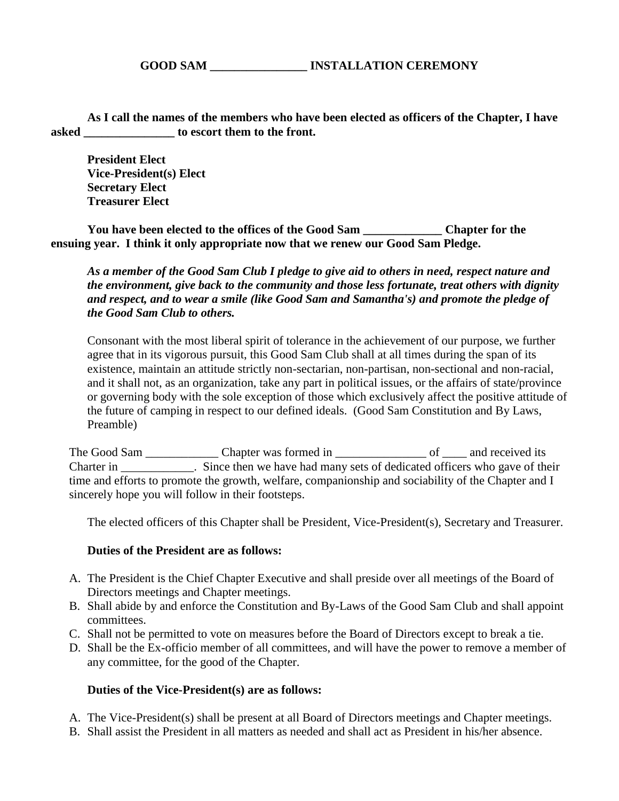**GOOD SAM \_\_\_\_\_\_\_\_\_\_\_\_\_\_\_\_ INSTALLATION CEREMONY**

**As I call the names of the members who have been elected as officers of the Chapter, I have asked \_\_\_\_\_\_\_\_\_\_\_\_\_\_\_ to escort them to the front.**

**President Elect Vice-President(s) Elect Secretary Elect Treasurer Elect**

**You have been elected to the offices of the Good Sam \_\_\_\_\_\_\_\_\_\_\_\_\_ Chapter for the ensuing year. I think it only appropriate now that we renew our Good Sam Pledge.**

*As a member of the Good Sam Club I pledge to give aid to others in need, respect nature and the environment, give back to the community and those less fortunate, treat others with dignity and respect, and to wear a smile (like Good Sam and Samantha's) and promote the pledge of the Good Sam Club to others.*

Consonant with the most liberal spirit of tolerance in the achievement of our purpose, we further agree that in its vigorous pursuit, this Good Sam Club shall at all times during the span of its existence, maintain an attitude strictly non-sectarian, non-partisan, non-sectional and non-racial, and it shall not, as an organization, take any part in political issues, or the affairs of state/province or governing body with the sole exception of those which exclusively affect the positive attitude of the future of camping in respect to our defined ideals. (Good Sam Constitution and By Laws, Preamble)

The Good Sam \_\_\_\_\_\_\_\_\_\_\_\_\_\_\_\_ Chapter was formed in \_\_\_\_\_\_\_\_\_\_\_\_\_\_\_\_\_\_\_ of \_\_\_\_\_ and received its Charter in \_\_\_\_\_\_\_\_\_\_\_\_. Since then we have had many sets of dedicated officers who gave of their time and efforts to promote the growth, welfare, companionship and sociability of the Chapter and I sincerely hope you will follow in their footsteps.

The elected officers of this Chapter shall be President, Vice-President(s), Secretary and Treasurer.

## **Duties of the President are as follows:**

- A. The President is the Chief Chapter Executive and shall preside over all meetings of the Board of Directors meetings and Chapter meetings.
- B. Shall abide by and enforce the Constitution and By-Laws of the Good Sam Club and shall appoint committees.
- C. Shall not be permitted to vote on measures before the Board of Directors except to break a tie.
- D. Shall be the Ex-officio member of all committees, and will have the power to remove a member of any committee, for the good of the Chapter.

## **Duties of the Vice-President(s) are as follows:**

- A. The Vice-President(s) shall be present at all Board of Directors meetings and Chapter meetings.
- B. Shall assist the President in all matters as needed and shall act as President in his/her absence.